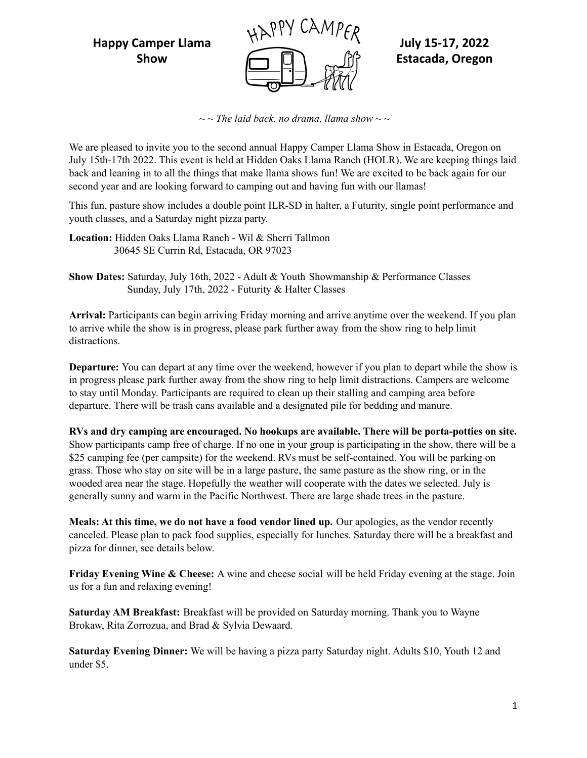

*~ ~ The laid back, no drama, llama show ~ ~*

We are pleased to invite you to the second annual Happy Camper Llama Show in Estacada, Oregon on July 15th-17th 2022. This event is held at Hidden Oaks Llama Ranch (HOLR). We are keeping things laid back and leaning in to all the things that make llama shows fun! We are excited to be back again for our second year and are looking forward to camping out and having fun with our llamas!

This fun, pasture show includes a double point ILR-SD in halter, a Futurity, single point performance and youth classes, and a Saturday night pizza party.

**Location:** Hidden Oaks Llama Ranch - Wil & Sherri Tallmon 30645 SE Currin Rd, Estacada, OR 97023

**Show Dates:** Saturday, July 16th, 2022 - Adult & Youth Showmanship & Performance Classes Sunday, July 17th, 2022 - Futurity & Halter Classes

**Arrival:** Participants can begin arriving Friday morning and arrive anytime over the weekend. If you plan to arrive while the show is in progress, please park further away from the show ring to help limit distractions.

**Departure:** You can depart at any time over the weekend, however if you plan to depart while the show is in progress please park further away from the show ring to help limit distractions. Campers are welcome to stay until Monday. Participants are required to clean up their stalling and camping area before departure. There will be trash cans available and a designated pile for bedding and manure.

**RVs and dry camping are encouraged. No hookups are available. There will be porta-potties on site.** Show participants camp free of charge. If no one in your group is participating in the show, there will be a \$25 camping fee (per campsite) for the weekend. RVs must be self-contained. You will be parking on grass. Those who stay on site will be in a large pasture, the same pasture as the show ring, or in the wooded area near the stage. Hopefully the weather will cooperate with the dates we selected. July is generally sunny and warm in the Pacific Northwest. There are large shade trees in the pasture.

**Meals: At this time, we do not have a food vendor lined up.** Our apologies, as the vendor recently canceled. Please plan to pack food supplies, especially for lunches. Saturday there will be a breakfast and pizza for dinner, see details below.

**Friday Evening Wine & Cheese:** A wine and cheese social will be held Friday evening at the stage. Join us for a fun and relaxing evening!

**Saturday AM Breakfast:** Breakfast will be provided on Saturday morning. Thank you to Wayne Brokaw, Rita Zorrozua, and Brad & Sylvia Dewaard.

**Saturday Evening Dinner:** We will be having a pizza party Saturday night. Adults \$10, Youth 12 and under \$5.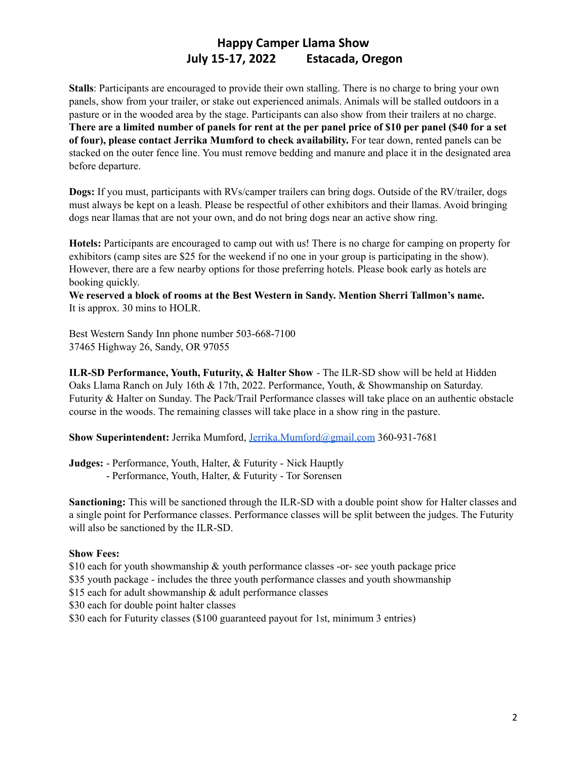**Stalls**: Participants are encouraged to provide their own stalling. There is no charge to bring your own panels, show from your trailer, or stake out experienced animals. Animals will be stalled outdoors in a pasture or in the wooded area by the stage. Participants can also show from their trailers at no charge. There are a limited number of panels for rent at the per panel price of \$10 per panel (\$40 for a set **of four), please contact Jerrika Mumford to check availability.** For tear down, rented panels can be stacked on the outer fence line. You must remove bedding and manure and place it in the designated area before departure.

**Dogs:** If you must, participants with RVs/camper trailers can bring dogs. Outside of the RV/trailer, dogs must always be kept on a leash. Please be respectful of other exhibitors and their llamas. Avoid bringing dogs near llamas that are not your own, and do not bring dogs near an active show ring.

**Hotels:** Participants are encouraged to camp out with us! There is no charge for camping on property for exhibitors (camp sites are \$25 for the weekend if no one in your group is participating in the show). However, there are a few nearby options for those preferring hotels. Please book early as hotels are booking quickly.

**We reserved a block of rooms at the Best Western in Sandy. Mention Sherri Tallmon's name.** It is approx. 30 mins to HOLR.

Best Western Sandy Inn phone number 503-668-7100 37465 Highway 26, Sandy, OR 97055

**ILR-SD Performance, Youth, Futurity, & Halter Show** - The ILR-SD show will be held at Hidden Oaks Llama Ranch on July 16th & 17th, 2022. Performance, Youth, & Showmanship on Saturday. Futurity & Halter on Sunday. The Pack/Trail Performance classes will take place on an authentic obstacle course in the woods. The remaining classes will take place in a show ring in the pasture.

**Show Superintendent:** Jerrika Mumford, [Jerrika.Mumford@gmail.com](mailto:Jerrika.Mumford@gmail.com) 360-931-7681

**Judges:** - Performance, Youth, Halter, & Futurity - Nick Hauptly - Performance, Youth, Halter, & Futurity - Tor Sorensen

**Sanctioning:** This will be sanctioned through the ILR-SD with a double point show for Halter classes and a single point for Performance classes. Performance classes will be split between the judges. The Futurity will also be sanctioned by the ILR-SD.

#### **Show Fees:**

\$10 each for youth showmanship & youth performance classes -or- see youth package price

\$35 youth package - includes the three youth performance classes and youth showmanship

\$15 each for adult showmanship & adult performance classes

\$30 each for double point halter classes

\$30 each for Futurity classes (\$100 guaranteed payout for 1st, minimum 3 entries)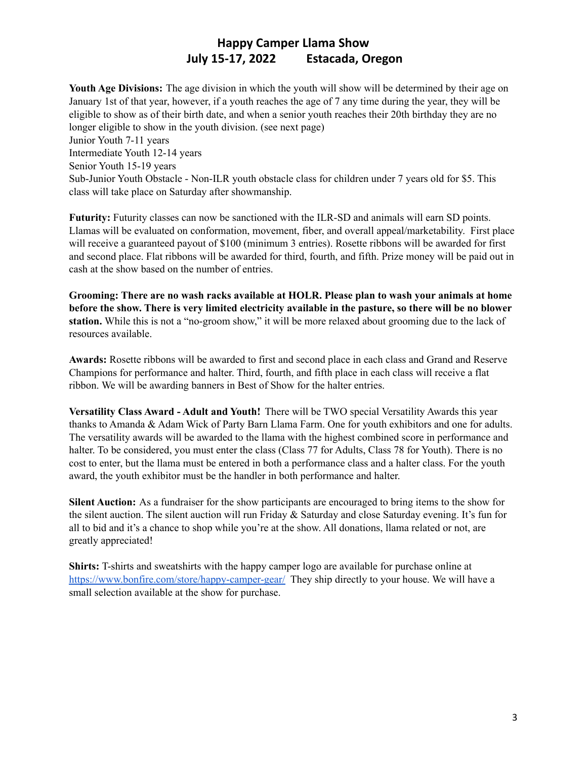**Youth Age Divisions:** The age division in which the youth will show will be determined by their age on January 1st of that year, however, if a youth reaches the age of 7 any time during the year, they will be eligible to show as of their birth date, and when a senior youth reaches their 20th birthday they are no longer eligible to show in the youth division. (see next page) Junior Youth 7-11 years Intermediate Youth 12-14 years Senior Youth 15-19 years Sub-Junior Youth Obstacle - Non-ILR youth obstacle class for children under 7 years old for \$5. This class will take place on Saturday after showmanship.

**Futurity:** Futurity classes can now be sanctioned with the ILR-SD and animals will earn SD points. Llamas will be evaluated on conformation, movement, fiber, and overall appeal/marketability. First place will receive a guaranteed payout of \$100 (minimum 3 entries). Rosette ribbons will be awarded for first and second place. Flat ribbons will be awarded for third, fourth, and fifth. Prize money will be paid out in cash at the show based on the number of entries.

**Grooming: There are no wash racks available at HOLR. Please plan to wash your animals at home** before the show. There is very limited electricity available in the pasture, so there will be no blower **station.** While this is not a "no-groom show," it will be more relaxed about grooming due to the lack of resources available.

**Awards:** Rosette ribbons will be awarded to first and second place in each class and Grand and Reserve Champions for performance and halter. Third, fourth, and fifth place in each class will receive a flat ribbon. We will be awarding banners in Best of Show for the halter entries.

**Versatility Class Award - Adult and Youth!** There will be TWO special Versatility Awards this year thanks to Amanda & Adam Wick of Party Barn Llama Farm. One for youth exhibitors and one for adults. The versatility awards will be awarded to the llama with the highest combined score in performance and halter. To be considered, you must enter the class (Class 77 for Adults, Class 78 for Youth). There is no cost to enter, but the llama must be entered in both a performance class and a halter class. For the youth award, the youth exhibitor must be the handler in both performance and halter.

**Silent Auction:** As a fundraiser for the show participants are encouraged to bring items to the show for the silent auction. The silent auction will run Friday & Saturday and close Saturday evening. It's fun for all to bid and it's a chance to shop while you're at the show. All donations, llama related or not, are greatly appreciated!

**Shirts:** T-shirts and sweatshirts with the happy camper logo are available for purchase online at <https://www.bonfire.com/store/happy-camper-gear/> They ship directly to your house. We will have a small selection available at the show for purchase.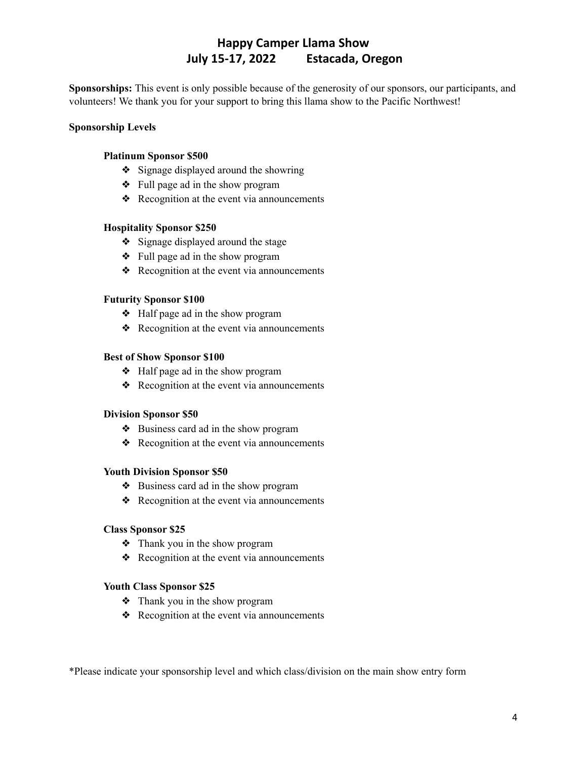**Sponsorships:** This event is only possible because of the generosity of our sponsors, our participants, and volunteers! We thank you for your support to bring this llama show to the Pacific Northwest!

#### **Sponsorship Levels**

#### **Platinum Sponsor \$500**

- ❖ Signage displayed around the showring
- ❖ Full page ad in the show program
- ❖ Recognition at the event via announcements

#### **Hospitality Sponsor \$250**

- ❖ Signage displayed around the stage
- ❖ Full page ad in the show program
- ❖ Recognition at the event via announcements

#### **Futurity Sponsor \$100**

- ❖ Half page ad in the show program
- ❖ Recognition at the event via announcements

#### **Best of Show Sponsor \$100**

- ❖ Half page ad in the show program
- ❖ Recognition at the event via announcements

#### **Division Sponsor \$50**

- ❖ Business card ad in the show program
- ❖ Recognition at the event via announcements

#### **Youth Division Sponsor \$50**

- ❖ Business card ad in the show program
- ❖ Recognition at the event via announcements

#### **Class Sponsor \$25**

- ❖ Thank you in the show program
- ❖ Recognition at the event via announcements

#### **Youth Class Sponsor \$25**

- ❖ Thank you in the show program
- ❖ Recognition at the event via announcements

\*Please indicate your sponsorship level and which class/division on the main show entry form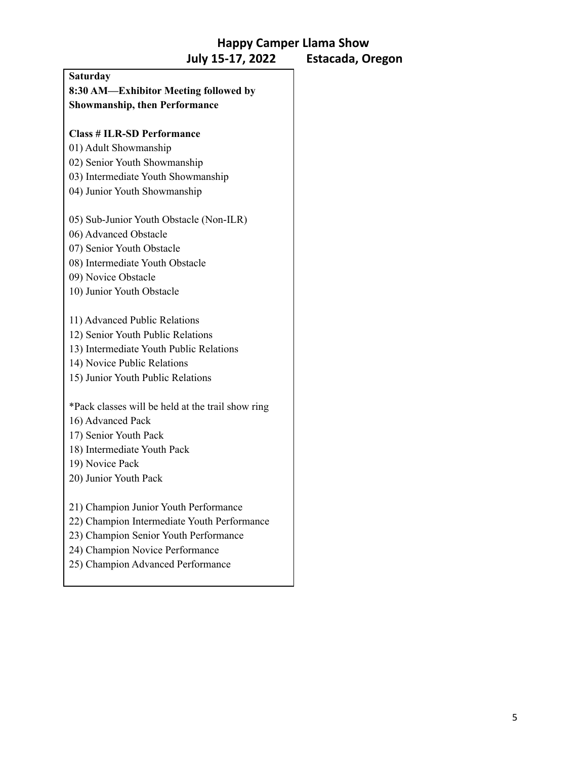| <b>Saturday</b>                                   |  |
|---------------------------------------------------|--|
| 8:30 AM-Exhibitor Meeting followed by             |  |
| <b>Showmanship, then Performance</b>              |  |
|                                                   |  |
| <b>Class # ILR-SD Performance</b>                 |  |
| 01) Adult Showmanship                             |  |
| 02) Senior Youth Showmanship                      |  |
| 03) Intermediate Youth Showmanship                |  |
| 04) Junior Youth Showmanship                      |  |
| 05) Sub-Junior Youth Obstacle (Non-ILR)           |  |
| 06) Advanced Obstacle                             |  |
| 07) Senior Youth Obstacle                         |  |
| 08) Intermediate Youth Obstacle                   |  |
| 09) Novice Obstacle                               |  |
| 10) Junior Youth Obstacle                         |  |
| 11) Advanced Public Relations                     |  |
| 12) Senior Youth Public Relations                 |  |
| 13) Intermediate Youth Public Relations           |  |
| 14) Novice Public Relations                       |  |
| 15) Junior Youth Public Relations                 |  |
| *Pack classes will be held at the trail show ring |  |
| 16) Advanced Pack                                 |  |
| 17) Senior Youth Pack                             |  |
| 18) Intermediate Youth Pack                       |  |
| 19) Novice Pack                                   |  |
| 20) Junior Youth Pack                             |  |
| 21) Champion Junior Youth Performance             |  |
| 22) Champion Intermediate Youth Performance       |  |
| 23) Champion Senior Youth Performance             |  |
|                                                   |  |

- 24) Champion Novice Performance
- 25) Champion Advanced Performance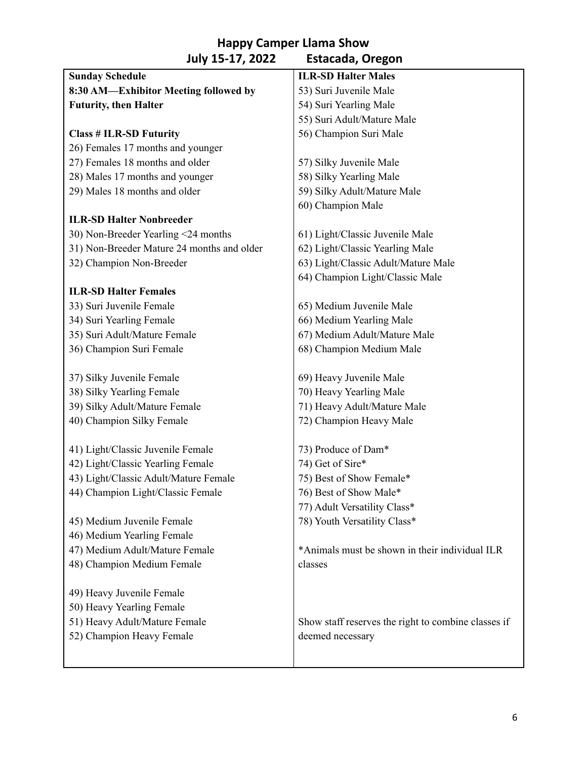| <b>Sunday Schedule</b>                     | <b>ILR-SD Halter Males</b>                          |  |  |
|--------------------------------------------|-----------------------------------------------------|--|--|
| 8:30 AM-Exhibitor Meeting followed by      | 53) Suri Juvenile Male                              |  |  |
| <b>Futurity, then Halter</b>               | 54) Suri Yearling Male                              |  |  |
|                                            | 55) Suri Adult/Mature Male                          |  |  |
| <b>Class # ILR-SD Futurity</b>             | 56) Champion Suri Male                              |  |  |
| 26) Females 17 months and younger          |                                                     |  |  |
| 27) Females 18 months and older            | 57) Silky Juvenile Male                             |  |  |
| 28) Males 17 months and younger            | 58) Silky Yearling Male                             |  |  |
| 29) Males 18 months and older              | 59) Silky Adult/Mature Male                         |  |  |
|                                            | 60) Champion Male                                   |  |  |
| <b>ILR-SD Halter Nonbreeder</b>            |                                                     |  |  |
| 30) Non-Breeder Yearling <24 months        | 61) Light/Classic Juvenile Male                     |  |  |
| 31) Non-Breeder Mature 24 months and older | 62) Light/Classic Yearling Male                     |  |  |
| 32) Champion Non-Breeder                   | 63) Light/Classic Adult/Mature Male                 |  |  |
|                                            | 64) Champion Light/Classic Male                     |  |  |
| <b>ILR-SD Halter Females</b>               |                                                     |  |  |
| 33) Suri Juvenile Female                   | 65) Medium Juvenile Male                            |  |  |
| 34) Suri Yearling Female                   | 66) Medium Yearling Male                            |  |  |
| 35) Suri Adult/Mature Female               | 67) Medium Adult/Mature Male                        |  |  |
| 36) Champion Suri Female                   | 68) Champion Medium Male                            |  |  |
|                                            |                                                     |  |  |
| 37) Silky Juvenile Female                  | 69) Heavy Juvenile Male                             |  |  |
| 38) Silky Yearling Female                  | 70) Heavy Yearling Male                             |  |  |
| 39) Silky Adult/Mature Female              | 71) Heavy Adult/Mature Male                         |  |  |
| 40) Champion Silky Female                  | 72) Champion Heavy Male                             |  |  |
|                                            |                                                     |  |  |
| 41) Light/Classic Juvenile Female          | 73) Produce of Dam*                                 |  |  |
| 42) Light/Classic Yearling Female          | 74) Get of Sire*                                    |  |  |
| 43) Light/Classic Adult/Mature Female      | 75) Best of Show Female*                            |  |  |
| 44) Champion Light/Classic Female          | 76) Best of Show Male*                              |  |  |
|                                            | 77) Adult Versatility Class*                        |  |  |
| 45) Medium Juvenile Female                 | 78) Youth Versatility Class*                        |  |  |
| 46) Medium Yearling Female                 |                                                     |  |  |
| 47) Medium Adult/Mature Female             | *Animals must be shown in their individual ILR      |  |  |
| 48) Champion Medium Female                 | classes                                             |  |  |
|                                            |                                                     |  |  |
| 49) Heavy Juvenile Female                  |                                                     |  |  |
| 50) Heavy Yearling Female                  |                                                     |  |  |
| 51) Heavy Adult/Mature Female              | Show staff reserves the right to combine classes if |  |  |
| 52) Champion Heavy Female                  | deemed necessary                                    |  |  |
|                                            |                                                     |  |  |
|                                            |                                                     |  |  |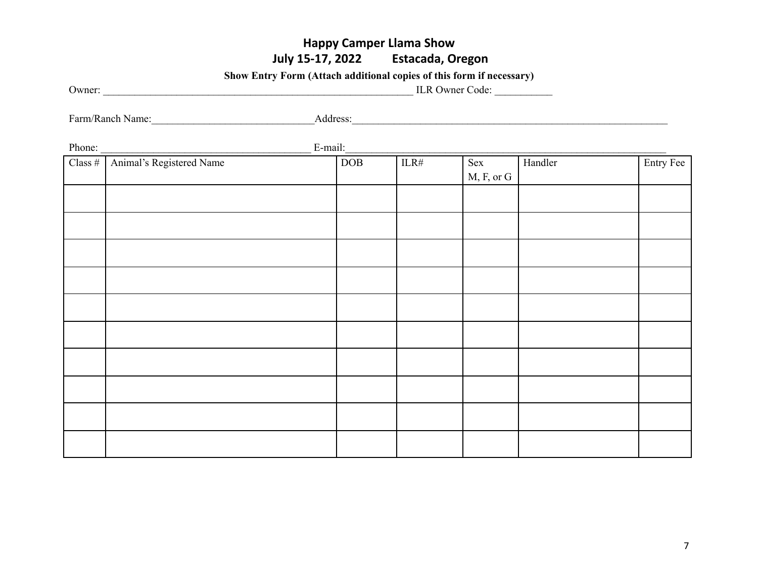**Show Entry Form (Attach additional copies of this form if necessary)**

| Owner: | <b>ILR Owner Code:</b> |
|--------|------------------------|
|        |                        |

Farm/Ranch Name:\_\_\_\_\_\_\_\_\_\_\_\_\_\_\_\_\_\_\_\_\_\_\_\_\_\_\_\_\_\_\_Address:\_\_\_\_\_\_\_\_\_\_\_\_\_\_\_\_\_\_\_\_\_\_\_\_\_\_\_\_\_\_\_\_\_\_\_\_\_\_\_\_\_\_\_\_\_\_\_\_\_\_\_\_\_\_\_\_\_\_\_\_

Phone: E-mail: Class # | Animal's Registered Name | DOB | ILR# Sex M, F, or G Handler Entry Fee